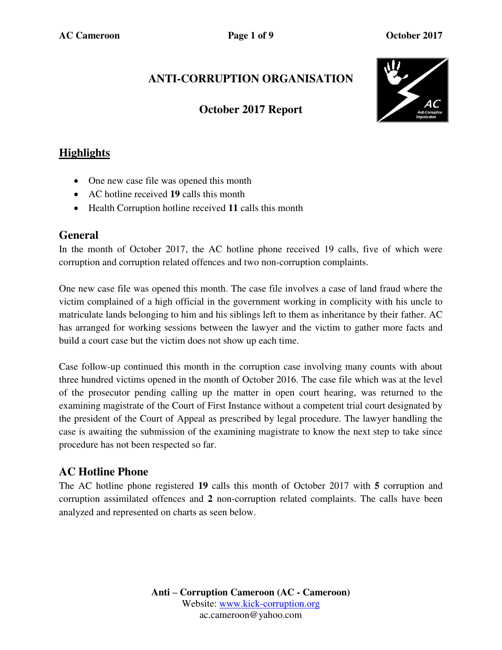# **ANTI-CORRUPTION ORGANISATION**

#### **October 2017 Report**



### **Highlights**

- One new case file was opened this month
- AC hotline received **19** calls this month
- Health Corruption hotline received **11** calls this month

#### **General**

In the month of October 2017, the AC hotline phone received 19 calls, five of which were corruption and corruption related offences and two non-corruption complaints.

One new case file was opened this month. The case file involves a case of land fraud where the victim complained of a high official in the government working in complicity with his uncle to matriculate lands belonging to him and his siblings left to them as inheritance by their father. AC has arranged for working sessions between the lawyer and the victim to gather more facts and build a court case but the victim does not show up each time.

Case follow-up continued this month in the corruption case involving many counts with about three hundred victims opened in the month of October 2016. The case file which was at the level of the prosecutor pending calling up the matter in open court hearing, was returned to the examining magistrate of the Court of First Instance without a competent trial court designated by the president of the Court of Appeal as prescribed by legal procedure. The lawyer handling the case is awaiting the submission of the examining magistrate to know the next step to take since procedure has not been respected so far.

#### **AC Hotline Phone**

The AC hotline phone registered **19** calls this month of October 2017 with **5** corruption and corruption assimilated offences and **2** non-corruption related complaints. The calls have been analyzed and represented on charts as seen below.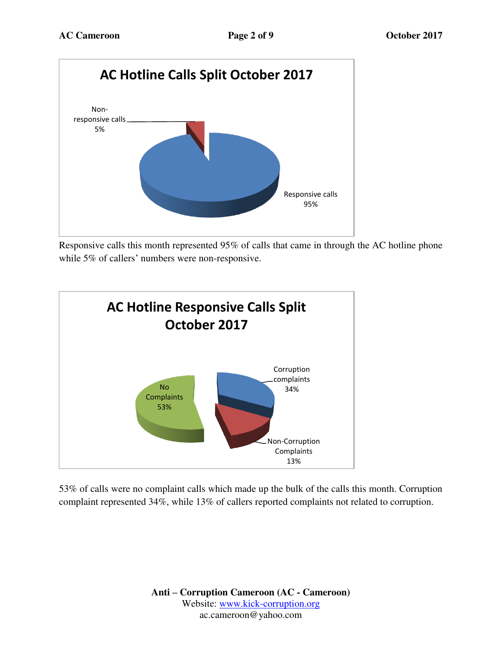

Responsive calls this month represented 95% of calls that came in through the AC hotline phone while 5% of callers' numbers were non-responsive.



53% of calls were no complaint calls which made up the bulk of the calls this month. Corruption complaint represented 34%, while 13% of callers reported complaints not related to corruption.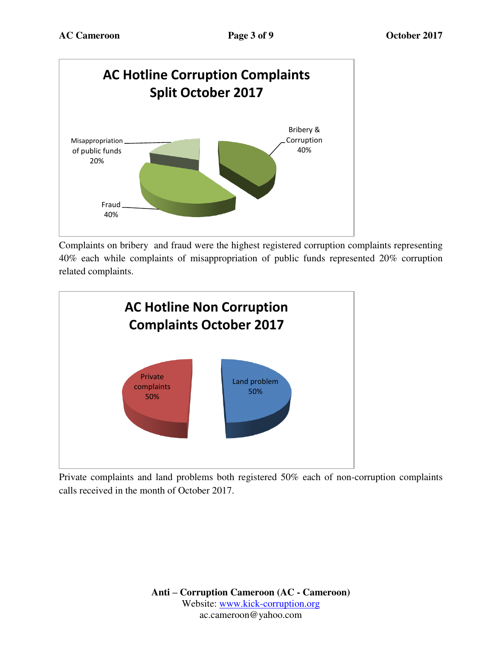

Complaints on bribery and fraud were the highest registered corruption complaints representing 40% each while complaints of misappropriation of public funds represented 20% corruption related complaints.



Private complaints and land problems both registered 50% each of non-corruption complaints calls received in the month of October 2017.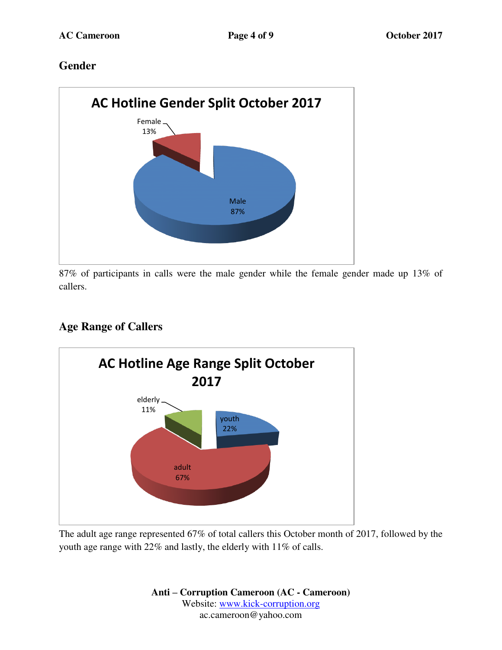### **Gender**



87% of participants in calls were the male gender while the female gender made up 13% of callers.

# **Age Range of Callers**



The adult age range represented 67% of total callers this October month of 2017, followed by the youth age range with 22% and lastly, the elderly with 11% of calls.

> **Anti – Corruption Cameroon (AC - Cameroon)** Website: [www.kick-corruption.org](http://www.kick-corruption.org/) ac.cameroon@yahoo.com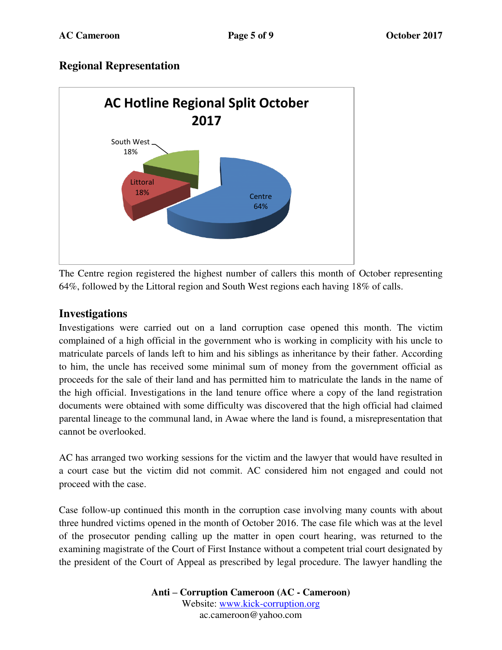#### **Regional Representation**



The Centre region registered the highest number of callers this month of October representing 64%, followed by the Littoral region and South West regions each having 18% of calls.

#### **Investigations**

Investigations were carried out on a land corruption case opened this month. The victim complained of a high official in the government who is working in complicity with his uncle to matriculate parcels of lands left to him and his siblings as inheritance by their father. According to him, the uncle has received some minimal sum of money from the government official as proceeds for the sale of their land and has permitted him to matriculate the lands in the name of the high official. Investigations in the land tenure office where a copy of the land registration documents were obtained with some difficulty was discovered that the high official had claimed parental lineage to the communal land, in Awae where the land is found, a misrepresentation that cannot be overlooked.

AC has arranged two working sessions for the victim and the lawyer that would have resulted in a court case but the victim did not commit. AC considered him not engaged and could not proceed with the case.

Case follow-up continued this month in the corruption case involving many counts with about three hundred victims opened in the month of October 2016. The case file which was at the level of the prosecutor pending calling up the matter in open court hearing, was returned to the examining magistrate of the Court of First Instance without a competent trial court designated by the president of the Court of Appeal as prescribed by legal procedure. The lawyer handling the

> **Anti – Corruption Cameroon (AC - Cameroon)** Website: [www.kick-corruption.org](http://www.kick-corruption.org/) ac.cameroon@yahoo.com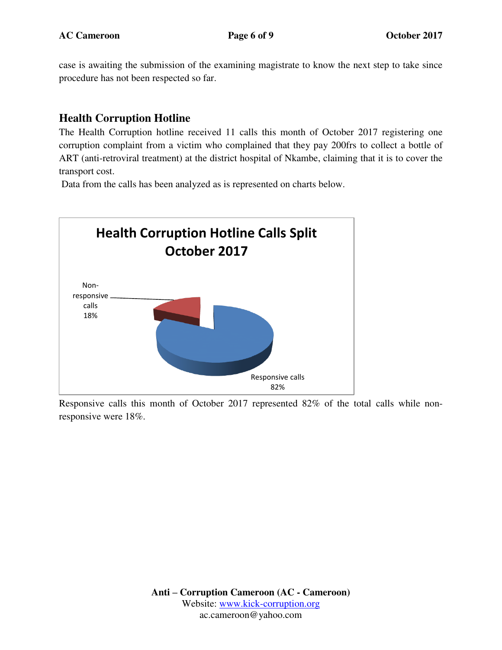case is awaiting the submission of the examining magistrate to know the next step to take since procedure has not been respected so far.

#### **Health Corruption Hotline**

The Health Corruption hotline received 11 calls this month of October 2017 registering one corruption complaint from a victim who complained that they pay 200frs to collect a bottle of ART (anti-retroviral treatment) at the district hospital of Nkambe, claiming that it is to cover the transport cost.

Data from the calls has been analyzed as is represented on charts below.



Responsive calls this month of October 2017 represented 82% of the total calls while nonresponsive were 18%.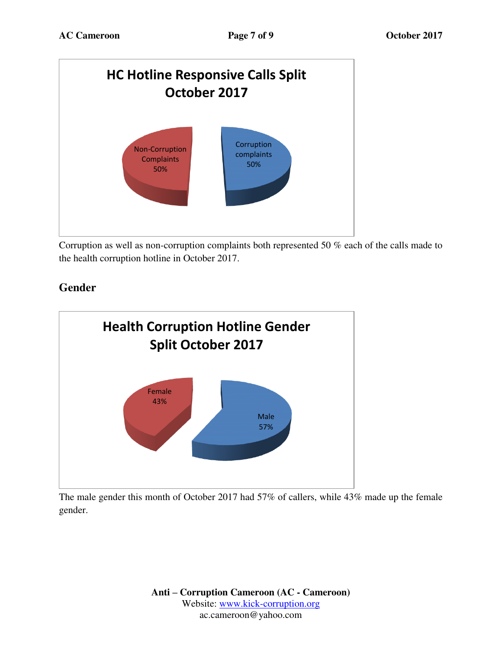

Corruption as well as non-corruption complaints both represented 50 % each of the calls made to the health corruption hotline in October 2017.

# **Gender**



The male gender this month of October 2017 had 57% of callers, while 43% made up the female gender.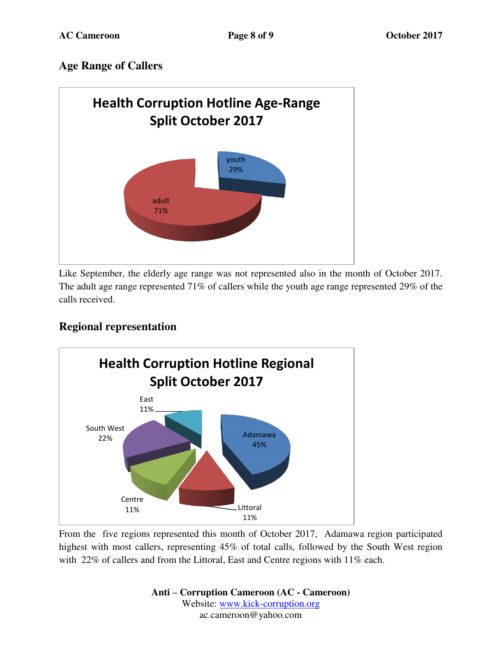### **Age Range of Callers**



Like September, the elderly age range was not represented also in the month of October 2017. The adult age range represented 71% of callers while the youth age range represented 29% of the calls received.

## **Regional representation**



From the five regions represented this month of October 2017, Adamawa region participated highest with most callers, representing 45% of total calls, followed by the South West region with 22% of callers and from the Littoral, East and Centre regions with 11% each.

> **Anti – Corruption Cameroon (AC - Cameroon)** Website: [www.kick-corruption.org](http://www.kick-corruption.org/) ac.cameroon@yahoo.com